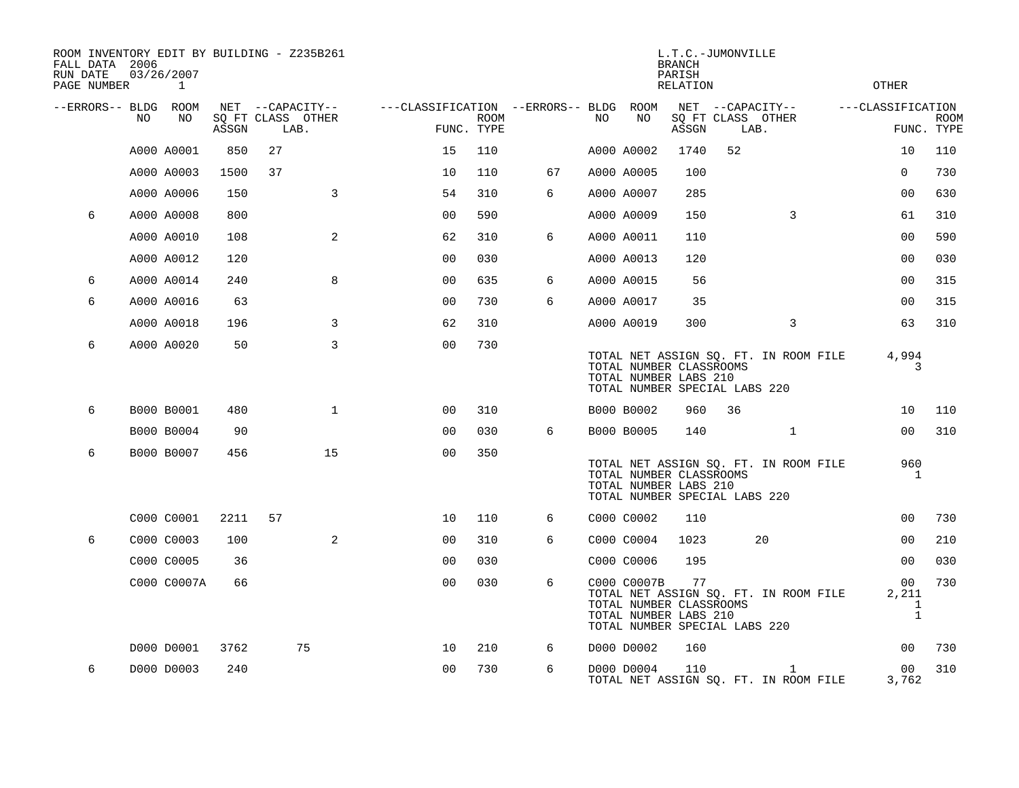| ROOM INVENTORY EDIT BY BUILDING - Z235B261<br>FALL DATA 2006<br>RUN DATE<br>PAGE NUMBER |     | 03/26/2007<br>1 |       |                                               |                |                                                      |             |    |     |             | L.T.C.-JUMONVILLE<br><b>BRANCH</b><br>PARISH<br><b>RELATION</b>                         |    |                                                       | <b>OTHER</b>      |                                                          |             |
|-----------------------------------------------------------------------------------------|-----|-----------------|-------|-----------------------------------------------|----------------|------------------------------------------------------|-------------|----|-----|-------------|-----------------------------------------------------------------------------------------|----|-------------------------------------------------------|-------------------|----------------------------------------------------------|-------------|
| --ERRORS-- BLDG ROOM                                                                    | NO. | NO.             | ASSGN | NET --CAPACITY--<br>SQ FT CLASS OTHER<br>LAB. |                | ---CLASSIFICATION --ERRORS-- BLDG ROOM<br>FUNC. TYPE | <b>ROOM</b> |    | NO. | NO          | ASSGN                                                                                   |    | NET --CAPACITY--<br>SQ FT CLASS OTHER<br>LAB.         | ---CLASSIFICATION | FUNC. TYPE                                               | <b>ROOM</b> |
|                                                                                         |     | A000 A0001      | 850   | 27                                            |                | 15                                                   | 110         |    |     | A000 A0002  | 1740                                                                                    | 52 |                                                       |                   | 10                                                       | 110         |
|                                                                                         |     | A000 A0003      | 1500  | 37                                            |                | 10                                                   | 110         | 67 |     | A000 A0005  | 100                                                                                     |    |                                                       |                   | $\Omega$                                                 | 730         |
|                                                                                         |     | A000 A0006      | 150   |                                               | 3              | 54                                                   | 310         | 6  |     | A000 A0007  | 285                                                                                     |    |                                                       |                   | 0 <sub>0</sub>                                           | 630         |
| 6                                                                                       |     | A000 A0008      | 800   |                                               |                | 00                                                   | 590         |    |     | A000 A0009  | 150                                                                                     |    | 3                                                     |                   | 61                                                       | 310         |
|                                                                                         |     | A000 A0010      | 108   |                                               | 2              | 62                                                   | 310         | 6  |     | A000 A0011  | 110                                                                                     |    |                                                       |                   | 0 <sub>0</sub>                                           | 590         |
|                                                                                         |     | A000 A0012      | 120   |                                               |                | 0 <sub>0</sub>                                       | 030         |    |     | A000 A0013  | 120                                                                                     |    |                                                       |                   | 0 <sub>0</sub>                                           | 030         |
| 6                                                                                       |     | A000 A0014      | 240   |                                               | 8              | 0 <sub>0</sub>                                       | 635         | 6  |     | A000 A0015  | 56                                                                                      |    |                                                       |                   | 0 <sub>0</sub>                                           | 315         |
| 6                                                                                       |     | A000 A0016      | 63    |                                               |                | 0 <sub>0</sub>                                       | 730         | 6  |     | A000 A0017  | 35                                                                                      |    |                                                       |                   | 0 <sub>0</sub>                                           | 315         |
|                                                                                         |     | A000 A0018      | 196   |                                               | 3              | 62                                                   | 310         |    |     | A000 A0019  | 300                                                                                     |    | 3                                                     |                   | 63                                                       | 310         |
| 6                                                                                       |     | A000 A0020      | 50    |                                               | 3              | 0 <sub>0</sub>                                       | 730         |    |     |             | TOTAL NUMBER CLASSROOMS<br>TOTAL NUMBER LABS 210<br>TOTAL NUMBER SPECIAL LABS 220       |    | TOTAL NET ASSIGN SQ. FT. IN ROOM FILE                 |                   | 4,994<br>3                                               |             |
| 6                                                                                       |     | B000 B0001      | 480   |                                               | $\mathbf{1}$   | 0 <sub>0</sub>                                       | 310         |    |     | B000 B0002  | 960                                                                                     | 36 |                                                       |                   | 10                                                       | 110         |
|                                                                                         |     | B000 B0004      | 90    |                                               |                | 0 <sub>0</sub>                                       | 030         | 6  |     | B000 B0005  | 140                                                                                     |    | $\mathbf{1}$                                          |                   | 00                                                       | 310         |
| 6                                                                                       |     | B000 B0007      | 456   |                                               | 15             | 0 <sub>0</sub>                                       | 350         |    |     |             | TOTAL NUMBER CLASSROOMS<br>TOTAL NUMBER LABS 210<br>TOTAL NUMBER SPECIAL LABS 220       |    | TOTAL NET ASSIGN SQ. FT. IN ROOM FILE                 |                   | 960<br>$\mathbf{1}$                                      |             |
|                                                                                         |     | C000 C0001      | 2211  | 57                                            |                | 10                                                   | 110         | 6  |     | C000 C0002  | 110                                                                                     |    |                                                       |                   | 0 <sub>0</sub>                                           | 730         |
| 6                                                                                       |     | C000 C0003      | 100   |                                               | $\overline{2}$ | 0 <sub>0</sub>                                       | 310         | 6  |     | C000 C0004  | 1023                                                                                    |    | 20                                                    |                   | 0 <sub>0</sub>                                           | 210         |
|                                                                                         |     | C000 C0005      | 36    |                                               |                | 0 <sub>0</sub>                                       | 030         |    |     | C000 C0006  | 195                                                                                     |    |                                                       |                   | 0 <sub>0</sub>                                           | 030         |
|                                                                                         |     | C000 C0007A     | 66    |                                               |                | 0 <sub>0</sub>                                       | 030         | 6  |     | C000 C0007B | 77<br>TOTAL NUMBER CLASSROOMS<br>TOTAL NUMBER LABS 210<br>TOTAL NUMBER SPECIAL LABS 220 |    | TOTAL NET ASSIGN SQ. FT. IN ROOM FILE                 |                   | 00 <sub>o</sub><br>2,211<br>$\mathbf{1}$<br>$\mathbf{1}$ | 730         |
|                                                                                         |     | D000 D0001      | 3762  |                                               | 75             | 10                                                   | 210         | 6  |     | D000 D0002  | 160                                                                                     |    |                                                       |                   | 00                                                       | 730         |
| 6                                                                                       |     | D000 D0003      | 240   |                                               |                | 0 <sub>0</sub>                                       | 730         | 6  |     | D000 D0004  | 110                                                                                     |    | $\mathbf{1}$<br>TOTAL NET ASSIGN SQ. FT. IN ROOM FILE |                   | 00<br>3,762                                              | 310         |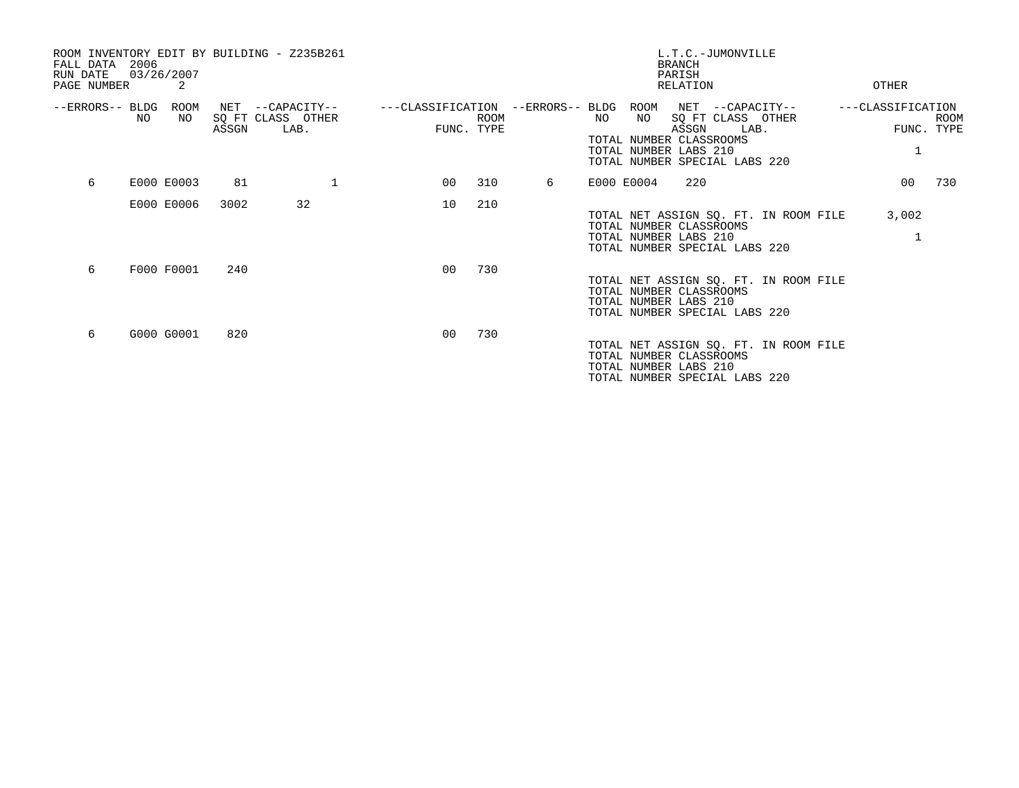| ROOM INVENTORY EDIT BY BUILDING - Z235B261<br>2006<br>FALL DATA<br>RUN DATE<br>PAGE NUMBER | 03/26/2007<br>2 |       |                                               |                                   |                           |   |    |            | L.T.C.-JUMONVILLE<br><b>BRANCH</b><br>PARISH<br>RELATION                                                                                    | OTHER                           |             |
|--------------------------------------------------------------------------------------------|-----------------|-------|-----------------------------------------------|-----------------------------------|---------------------------|---|----|------------|---------------------------------------------------------------------------------------------------------------------------------------------|---------------------------------|-------------|
| --ERRORS-- BLDG<br>NO.                                                                     | ROOM<br>NO.     | ASSGN | NET --CAPACITY--<br>SQ FT CLASS OTHER<br>LAB. | ---CLASSIFICATION --ERRORS-- BLDG | <b>ROOM</b><br>FUNC. TYPE |   | NO | ROOM<br>NO | NET --CAPACITY--<br>SQ FT CLASS OTHER<br>ASSGN<br>LAB.<br>TOTAL NUMBER CLASSROOMS<br>TOTAL NUMBER LABS 210<br>TOTAL NUMBER SPECIAL LABS 220 | ---CLASSIFICATION<br>FUNC. TYPE | <b>ROOM</b> |
| 6                                                                                          | E000 E0003      | 81    | 1                                             | 00                                | 310                       | 6 |    | E000 E0004 | 220                                                                                                                                         | 00 <sub>o</sub>                 | 730         |
|                                                                                            | E000 E0006      | 3002  | 32                                            | 10                                | 210                       |   |    |            | TOTAL NET ASSIGN SQ. FT. IN ROOM FILE<br>TOTAL NUMBER CLASSROOMS<br>TOTAL NUMBER LABS 210<br>TOTAL NUMBER SPECIAL LABS 220                  | 3,002                           |             |
| 6                                                                                          | F000 F0001      | 240   |                                               | 0 <sup>0</sup>                    | 730                       |   |    |            | TOTAL NET ASSIGN SQ. FT. IN ROOM FILE<br>TOTAL NUMBER CLASSROOMS<br>TOTAL NUMBER LABS 210<br>TOTAL NUMBER SPECIAL LABS 220                  |                                 |             |
| 6                                                                                          | G000 G0001      | 820   |                                               | 0 <sub>0</sub>                    | 730                       |   |    |            | TOTAL NET ASSIGN SQ. FT. IN ROOM FILE<br>TOTAL NUMBER CLASSROOMS<br>TOTAL NUMBER LABS 210<br>TOTAL NUMBER SPECIAL LABS 220                  |                                 |             |